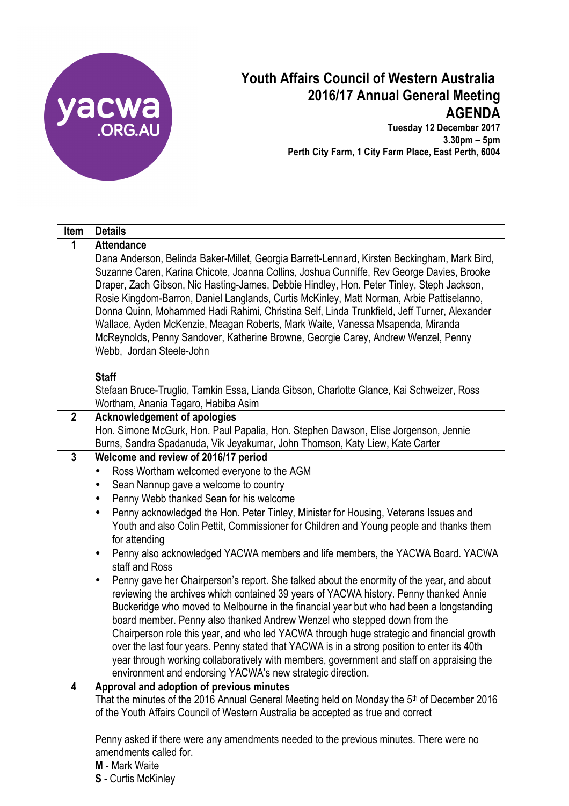

## **Youth Affairs Council of Western Australia 2016/17 Annual General Meeting AGENDA**

**Tuesday 12 December 2017 3.30pm – 5pm Perth City Farm, 1 City Farm Place, East Perth, 6004**

| Item         | <b>Details</b>                                                                                                                                                                                                                                                                                                                                                                                                                                                                                                                                                                                                                                                                                                                |
|--------------|-------------------------------------------------------------------------------------------------------------------------------------------------------------------------------------------------------------------------------------------------------------------------------------------------------------------------------------------------------------------------------------------------------------------------------------------------------------------------------------------------------------------------------------------------------------------------------------------------------------------------------------------------------------------------------------------------------------------------------|
| 1            | <b>Attendance</b>                                                                                                                                                                                                                                                                                                                                                                                                                                                                                                                                                                                                                                                                                                             |
|              | Dana Anderson, Belinda Baker-Millet, Georgia Barrett-Lennard, Kirsten Beckingham, Mark Bird,<br>Suzanne Caren, Karina Chicote, Joanna Collins, Joshua Cunniffe, Rev George Davies, Brooke<br>Draper, Zach Gibson, Nic Hasting-James, Debbie Hindley, Hon. Peter Tinley, Steph Jackson,<br>Rosie Kingdom-Barron, Daniel Langlands, Curtis McKinley, Matt Norman, Arbie Pattiselanno,<br>Donna Quinn, Mohammed Hadi Rahimi, Christina Self, Linda Trunkfield, Jeff Turner, Alexander<br>Wallace, Ayden McKenzie, Meagan Roberts, Mark Waite, Vanessa Msapenda, Miranda<br>McReynolds, Penny Sandover, Katherine Browne, Georgie Carey, Andrew Wenzel, Penny                                                                     |
|              | Webb, Jordan Steele-John                                                                                                                                                                                                                                                                                                                                                                                                                                                                                                                                                                                                                                                                                                      |
|              | <b>Staff</b><br>Stefaan Bruce-Truglio, Tamkin Essa, Lianda Gibson, Charlotte Glance, Kai Schweizer, Ross<br>Wortham, Anania Tagaro, Habiba Asim                                                                                                                                                                                                                                                                                                                                                                                                                                                                                                                                                                               |
| $\mathbf{2}$ | <b>Acknowledgement of apologies</b>                                                                                                                                                                                                                                                                                                                                                                                                                                                                                                                                                                                                                                                                                           |
|              | Hon. Simone McGurk, Hon. Paul Papalia, Hon. Stephen Dawson, Elise Jorgenson, Jennie                                                                                                                                                                                                                                                                                                                                                                                                                                                                                                                                                                                                                                           |
|              | Burns, Sandra Spadanuda, Vik Jeyakumar, John Thomson, Katy Liew, Kate Carter                                                                                                                                                                                                                                                                                                                                                                                                                                                                                                                                                                                                                                                  |
| $\mathbf{3}$ | Welcome and review of 2016/17 period                                                                                                                                                                                                                                                                                                                                                                                                                                                                                                                                                                                                                                                                                          |
|              | Ross Wortham welcomed everyone to the AGM<br>٠                                                                                                                                                                                                                                                                                                                                                                                                                                                                                                                                                                                                                                                                                |
|              | Sean Nannup gave a welcome to country                                                                                                                                                                                                                                                                                                                                                                                                                                                                                                                                                                                                                                                                                         |
|              | Penny Webb thanked Sean for his welcome<br>٠                                                                                                                                                                                                                                                                                                                                                                                                                                                                                                                                                                                                                                                                                  |
|              | Penny acknowledged the Hon. Peter Tinley, Minister for Housing, Veterans Issues and<br>$\bullet$<br>Youth and also Colin Pettit, Commissioner for Children and Young people and thanks them<br>for attending                                                                                                                                                                                                                                                                                                                                                                                                                                                                                                                  |
|              | Penny also acknowledged YACWA members and life members, the YACWA Board. YACWA<br>$\bullet$<br>staff and Ross                                                                                                                                                                                                                                                                                                                                                                                                                                                                                                                                                                                                                 |
|              | Penny gave her Chairperson's report. She talked about the enormity of the year, and about<br>$\bullet$<br>reviewing the archives which contained 39 years of YACWA history. Penny thanked Annie<br>Buckeridge who moved to Melbourne in the financial year but who had been a longstanding<br>board member. Penny also thanked Andrew Wenzel who stepped down from the<br>Chairperson role this year, and who led YACWA through huge strategic and financial growth<br>over the last four years. Penny stated that YACWA is in a strong position to enter its 40th<br>year through working collaboratively with members, government and staff on appraising the<br>environment and endorsing YACWA's new strategic direction. |
| 4            | Approval and adoption of previous minutes                                                                                                                                                                                                                                                                                                                                                                                                                                                                                                                                                                                                                                                                                     |
|              | That the minutes of the 2016 Annual General Meeting held on Monday the 5 <sup>th</sup> of December 2016<br>of the Youth Affairs Council of Western Australia be accepted as true and correct                                                                                                                                                                                                                                                                                                                                                                                                                                                                                                                                  |
|              | Penny asked if there were any amendments needed to the previous minutes. There were no<br>amendments called for.<br>M - Mark Waite<br><b>S</b> - Curtis McKinley                                                                                                                                                                                                                                                                                                                                                                                                                                                                                                                                                              |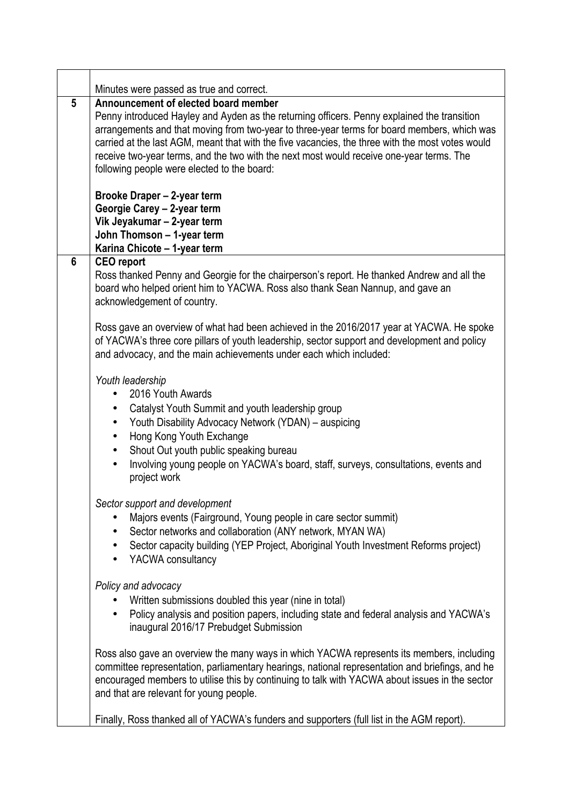|   | Minutes were passed as true and correct.                                                                                                                                                                                                                                                                                                                                                                                                                                          |
|---|-----------------------------------------------------------------------------------------------------------------------------------------------------------------------------------------------------------------------------------------------------------------------------------------------------------------------------------------------------------------------------------------------------------------------------------------------------------------------------------|
| 5 | Announcement of elected board member<br>Penny introduced Hayley and Ayden as the returning officers. Penny explained the transition<br>arrangements and that moving from two-year to three-year terms for board members, which was<br>carried at the last AGM, meant that with the five vacancies, the three with the most votes would<br>receive two-year terms, and the two with the next most would receive one-year terms. The<br>following people were elected to the board: |
|   | Brooke Draper - 2-year term<br>Georgie Carey - 2-year term<br>Vik Jeyakumar - 2-year term<br>John Thomson - 1-year term<br>Karina Chicote - 1-year term                                                                                                                                                                                                                                                                                                                           |
| 6 | <b>CEO</b> report<br>Ross thanked Penny and Georgie for the chairperson's report. He thanked Andrew and all the<br>board who helped orient him to YACWA. Ross also thank Sean Nannup, and gave an<br>acknowledgement of country.                                                                                                                                                                                                                                                  |
|   | Ross gave an overview of what had been achieved in the 2016/2017 year at YACWA. He spoke<br>of YACWA's three core pillars of youth leadership, sector support and development and policy<br>and advocacy, and the main achievements under each which included:                                                                                                                                                                                                                    |
|   | Youth leadership<br>2016 Youth Awards<br>Catalyst Youth Summit and youth leadership group<br>$\bullet$<br>Youth Disability Advocacy Network (YDAN) – auspicing<br>$\bullet$<br>Hong Kong Youth Exchange<br>$\bullet$<br>Shout Out youth public speaking bureau<br>$\bullet$<br>Involving young people on YACWA's board, staff, surveys, consultations, events and<br>project work                                                                                                 |
|   | Sector support and development<br>Majors events (Fairground, Young people in care sector summit)<br>Sector networks and collaboration (ANY network, MYAN WA)<br>Sector capacity building (YEP Project, Aboriginal Youth Investment Reforms project)<br>$\bullet$<br>YACWA consultancy<br>٠                                                                                                                                                                                        |
|   | Policy and advocacy<br>Written submissions doubled this year (nine in total)<br>Policy analysis and position papers, including state and federal analysis and YACWA's<br>inaugural 2016/17 Prebudget Submission                                                                                                                                                                                                                                                                   |
|   | Ross also gave an overview the many ways in which YACWA represents its members, including<br>committee representation, parliamentary hearings, national representation and briefings, and he<br>encouraged members to utilise this by continuing to talk with YACWA about issues in the sector<br>and that are relevant for young people.                                                                                                                                         |
|   | Finally, Ross thanked all of YACWA's funders and supporters (full list in the AGM report).                                                                                                                                                                                                                                                                                                                                                                                        |